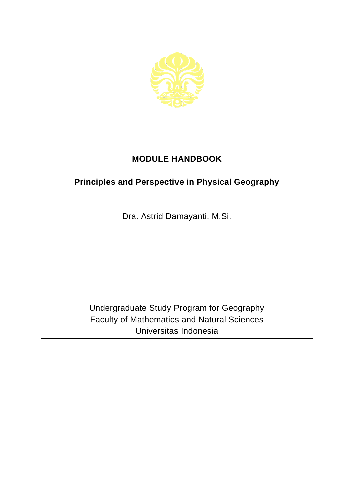

## **MODULE HANDBOOK**

## **Principles and Perspective in Physical Geography**

Dra. Astrid Damayanti, M.Si.

Undergraduate Study Program for Geography Faculty of Mathematics and Natural Sciences Universitas Indonesia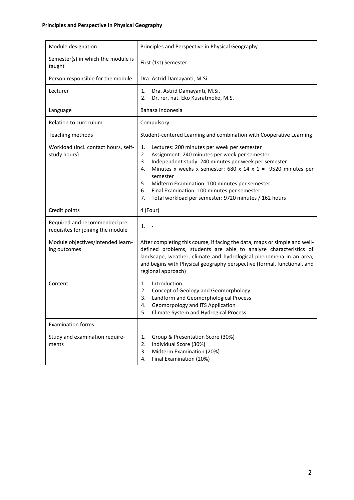| Module designation                                                 | Principles and Perspective in Physical Geography                                                                                                                                                                                                                                                                                                                                                                                   |
|--------------------------------------------------------------------|------------------------------------------------------------------------------------------------------------------------------------------------------------------------------------------------------------------------------------------------------------------------------------------------------------------------------------------------------------------------------------------------------------------------------------|
| Semester(s) in which the module is<br>taught                       | First (1st) Semester                                                                                                                                                                                                                                                                                                                                                                                                               |
| Person responsible for the module                                  | Dra. Astrid Damayanti, M.Si.                                                                                                                                                                                                                                                                                                                                                                                                       |
| Lecturer                                                           | Dra. Astrid Damayanti, M.Si.<br>1.<br>Dr. rer. nat. Eko Kusratmoko, M.S.<br>2.                                                                                                                                                                                                                                                                                                                                                     |
| Language                                                           | Bahasa Indonesia                                                                                                                                                                                                                                                                                                                                                                                                                   |
| Relation to curriculum                                             | Compulsory                                                                                                                                                                                                                                                                                                                                                                                                                         |
| Teaching methods                                                   | Student-centered Learning and combination with Cooperative Learning                                                                                                                                                                                                                                                                                                                                                                |
| Workload (incl. contact hours, self-<br>study hours)               | Lectures: 200 minutes per week per semester<br>1.<br>Assignment: 240 minutes per week per semester<br>2.<br>Independent study: 240 minutes per week per semester<br>3.<br>Minutes x weeks x semester: 680 x 14 x 1 = 9520 minutes per<br>4.<br>semester<br>5.<br>Midterm Examination: 100 minutes per semester<br>Final Examination: 100 minutes per semester<br>6.<br>Total workload per semester: 9720 minutes / 162 hours<br>7. |
| Credit points                                                      | 4 (Four)                                                                                                                                                                                                                                                                                                                                                                                                                           |
| Required and recommended pre-<br>requisites for joining the module | 1.                                                                                                                                                                                                                                                                                                                                                                                                                                 |
|                                                                    |                                                                                                                                                                                                                                                                                                                                                                                                                                    |
| Module objectives/intended learn-<br>ing outcomes                  | After completing this course, if facing the data, maps or simple and well-<br>defined problems, students are able to analyze characteristics of<br>landscape, weather, climate and hydrological phenomena in an area,<br>and begins with Physical geography perspective (formal, functional, and<br>regional approach)                                                                                                             |
| Content                                                            | Introduction<br>1.<br>2.<br>Concept of Geology and Geomorphology<br>Landform and Geomorphological Process<br>3.<br>Geomorpology and ITS Application<br>4.<br>Climate System and Hydrogical Process<br>5.                                                                                                                                                                                                                           |
| <b>Examination forms</b>                                           | $\overline{\phantom{0}}$                                                                                                                                                                                                                                                                                                                                                                                                           |